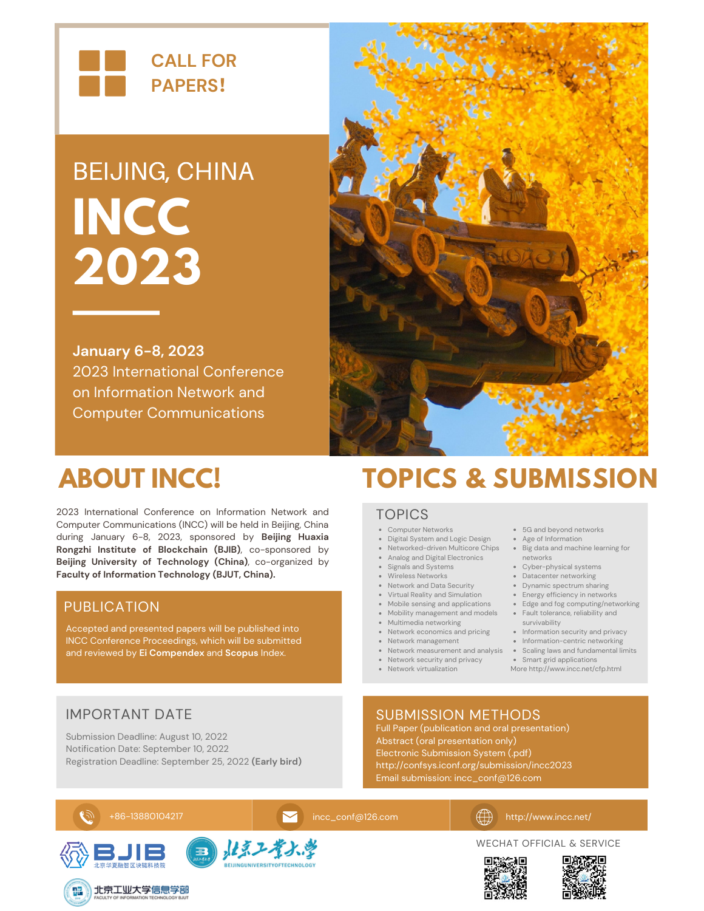

# BEIJING, CHINA **INCC 2023**

**January 6-8, 2023** 2023 International Conference on Information Network and Computer Communications



2023 International Conference on Information Network and Computer Communications (INCC) will be held in Beijing, China during January 6-8, 2023, sponsored by **Beijing Huaxia Rongzhi Institute of Blockchain (BJIB)**, co-sponsored by **Beijing University of Technology (China)**, co-organized by **Faculty of Information Technology (BJUT, China).**

## PUBLICATION

Accepted and presented papers will be published into INCC Conference Proceedings, which will be submitted and reviewed by **Ei Compendex** and **Scopus** Index.

## **ABOUT INCC! TOPICS & SUBMISSION**

### TOPICS

- Computer Networks
- Digital System and Logic Design
- 
- Analog and Digital Electronics
- Signals and Systems
- Wireless Networks
- Network and Data Security
- Virtual Reality and Simulation
- Mobile sensing and applications
- 
- Multimedia networking
- Network economics and pricing
- Network management
- Network security and privacy
- Network virtualization
- 5G and beyond networks
- Networked-driven Multicore Chips Big data and machine learning for Age of Information
	- networks
	- Cyber-physical systems
	- Datacenter networking
	- Dynamic spectrum sharing • Energy efficiency in networks
	- Edge and fog computing/networking
- Mobility management and models Fault tolerance, reliability and survivability
	- Information security and privacy
	- Information-centric networking
- Network measurement and analysis Scaling laws and fundamental limits
	- **Smart grid applications**
	- More http://www.incc.net/cfp.html

## IMPORTANT DATE

Submission Deadline: August 10, 2022 Notification Date: September 10, 2022 Registration Deadline: September 25, 2022 **(Early bird)**

## SUBMISSION METHODS

Full Paper (publication and oral presentation) Abstract (oral presentation only) Electronic Submission System (.pdf) http://confsys.iconf.org/submission/incc2023 Email submission: incc\_conf@126.com





WECHAT OFFICIAL & SERVICE









+86-13880104217 [incc\\_conf@126.com](mailto:incc_conf@126.com) http://www.incc.net/